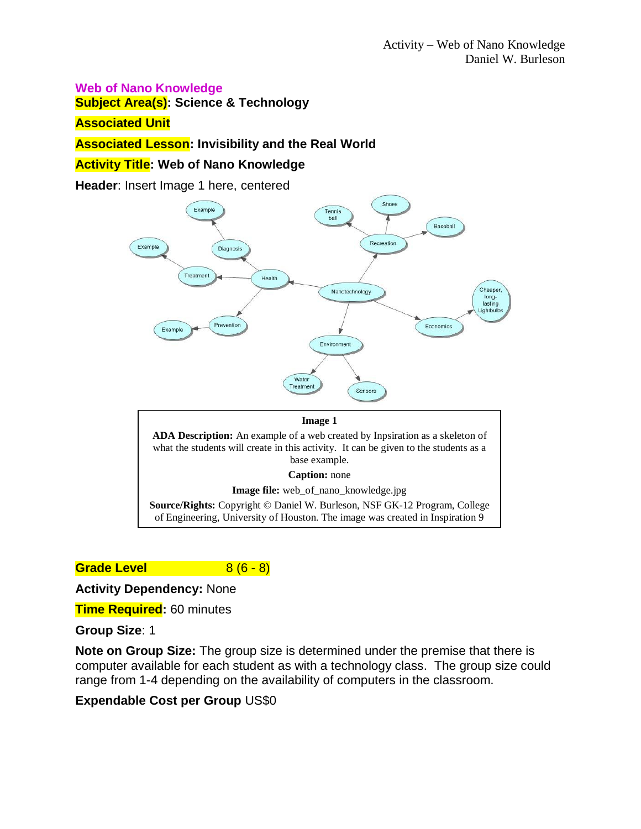#### **Web of Nano Knowledge**

**Subject Area(s): Science & Technology**

#### **Associated Unit**

#### **Associated Lesson: Invisibility and the Real World**

### **Activity Title: Web of Nano Knowledge**

**Header**: Insert Image 1 here, centered



**Image file:** web\_of\_nano\_knowledge.jpg

**Source/Rights:** Copyright © Daniel W. Burleson, NSF GK-12 Program, College of Engineering, University of Houston. The image was created in Inspiration 9

**Grade Level** 8 (6 - 8)

**Activity Dependency:** None

**Time Required:** 60 minutes

**Group Size**: 1

**Note on Group Size:** The group size is determined under the premise that there is computer available for each student as with a technology class. The group size could range from 1-4 depending on the availability of computers in the classroom.

#### **Expendable Cost per Group** US\$0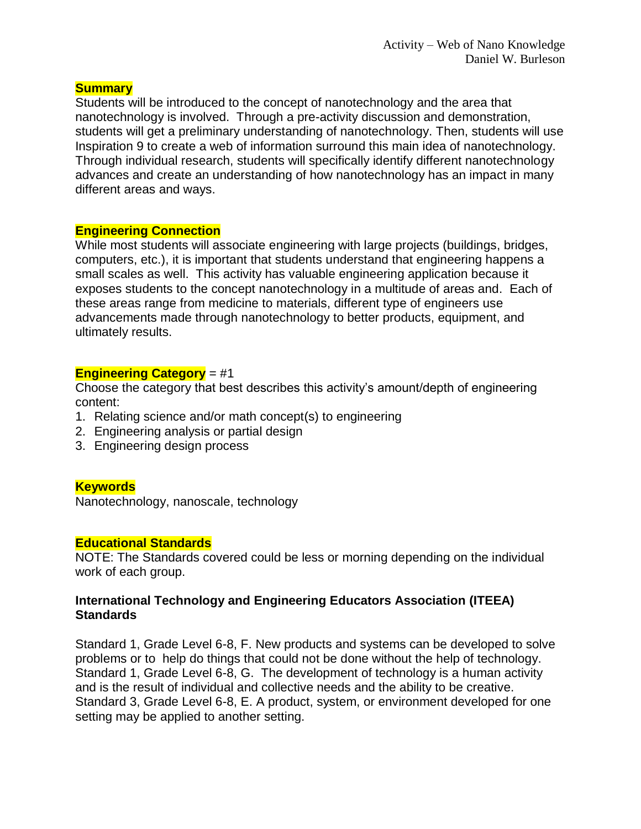## **Summary**

Students will be introduced to the concept of nanotechnology and the area that nanotechnology is involved. Through a pre-activity discussion and demonstration, students will get a preliminary understanding of nanotechnology. Then, students will use Inspiration 9 to create a web of information surround this main idea of nanotechnology. Through individual research, students will specifically identify different nanotechnology advances and create an understanding of how nanotechnology has an impact in many different areas and ways.

## **Engineering Connection**

While most students will associate engineering with large projects (buildings, bridges, computers, etc.), it is important that students understand that engineering happens a small scales as well. This activity has valuable engineering application because it exposes students to the concept nanotechnology in a multitude of areas and. Each of these areas range from medicine to materials, different type of engineers use advancements made through nanotechnology to better products, equipment, and ultimately results.

# **Engineering Category** = #1

Choose the category that best describes this activity's amount/depth of engineering content:

- 1. Relating science and/or math concept(s) to engineering
- 2. Engineering analysis or partial design
- 3. Engineering design process

# **Keywords**

Nanotechnology, nanoscale, technology

## **Educational Standards**

NOTE: The Standards covered could be less or morning depending on the individual work of each group.

## **International Technology and Engineering Educators Association (ITEEA) Standards**

Standard 1, Grade Level 6-8, F. New products and systems can be developed to solve problems or to help do things that could not be done without the help of technology. Standard 1, Grade Level 6-8, G. The development of technology is a human activity and is the result of individual and collective needs and the ability to be creative. Standard 3, Grade Level 6-8, E. A product, system, or environment developed for one setting may be applied to another setting.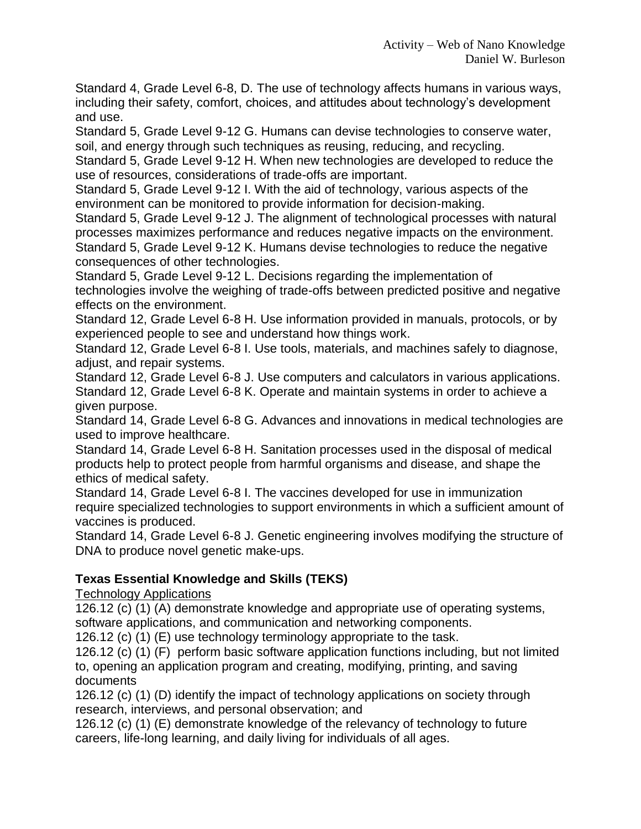Standard 4, Grade Level 6-8, D. The use of technology affects humans in various ways, including their safety, comfort, choices, and attitudes about technology's development and use.

Standard 5, Grade Level 9-12 G. Humans can devise technologies to conserve water, soil, and energy through such techniques as reusing, reducing, and recycling.

Standard 5, Grade Level 9-12 H. When new technologies are developed to reduce the use of resources, considerations of trade-offs are important.

Standard 5, Grade Level 9-12 I. With the aid of technology, various aspects of the environment can be monitored to provide information for decision-making.

Standard 5, Grade Level 9-12 J. The alignment of technological processes with natural processes maximizes performance and reduces negative impacts on the environment. Standard 5, Grade Level 9-12 K. Humans devise technologies to reduce the negative

consequences of other technologies.

Standard 5, Grade Level 9-12 L. Decisions regarding the implementation of technologies involve the weighing of trade-offs between predicted positive and negative effects on the environment.

Standard 12, Grade Level 6-8 H. Use information provided in manuals, protocols, or by experienced people to see and understand how things work.

Standard 12, Grade Level 6-8 I. Use tools, materials, and machines safely to diagnose, adjust, and repair systems.

Standard 12, Grade Level 6-8 J. Use computers and calculators in various applications. Standard 12, Grade Level 6-8 K. Operate and maintain systems in order to achieve a given purpose.

Standard 14, Grade Level 6-8 G. Advances and innovations in medical technologies are used to improve healthcare.

Standard 14, Grade Level 6-8 H. Sanitation processes used in the disposal of medical products help to protect people from harmful organisms and disease, and shape the ethics of medical safety.

Standard 14, Grade Level 6-8 I. The vaccines developed for use in immunization require specialized technologies to support environments in which a sufficient amount of vaccines is produced.

Standard 14, Grade Level 6-8 J. Genetic engineering involves modifying the structure of DNA to produce novel genetic make-ups.

# **Texas Essential Knowledge and Skills (TEKS)**

Technology Applications

126.12 (c) (1) (A) demonstrate knowledge and appropriate use of operating systems, software applications, and communication and networking components.

126.12 (c) (1) (E) use technology terminology appropriate to the task.

126.12 (c) (1) (F) perform basic software application functions including, but not limited to, opening an application program and creating, modifying, printing, and saving documents

126.12 (c) (1) (D) identify the impact of technology applications on society through research, interviews, and personal observation; and

126.12 (c) (1) (E) demonstrate knowledge of the relevancy of technology to future careers, life-long learning, and daily living for individuals of all ages.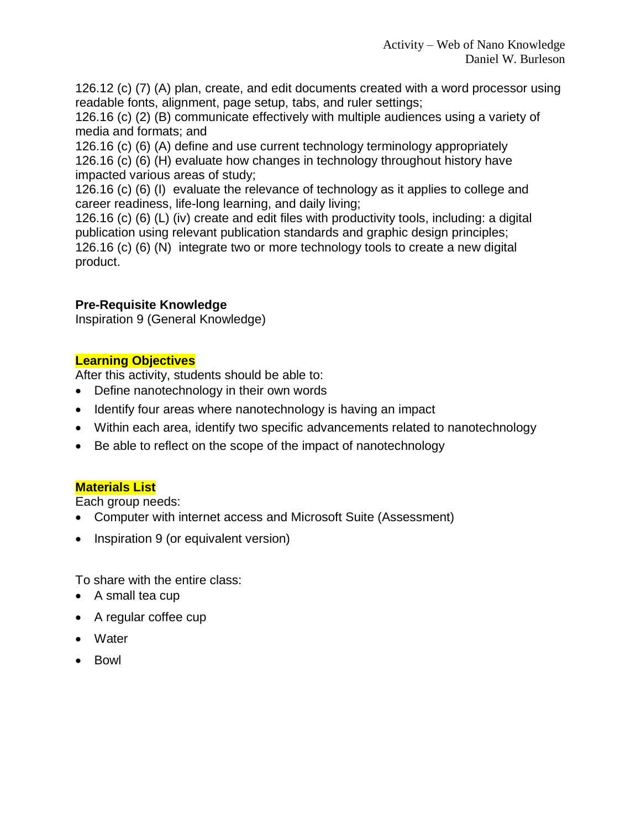126.12 (c) (7) (A) plan, create, and edit documents created with a word processor using readable fonts, alignment, page setup, tabs, and ruler settings;

126.16 (c) (2) (B) communicate effectively with multiple audiences using a variety of media and formats; and

126.16 (c) (6) (A) define and use current technology terminology appropriately 126.16 (c) (6) (H) evaluate how changes in technology throughout history have impacted various areas of study;

126.16 (c) (6) (I) evaluate the relevance of technology as it applies to college and career readiness, life-long learning, and daily living;

126.16 (c) (6) (L) (iv) create and edit files with productivity tools, including: a digital publication using relevant publication standards and graphic design principles; 126.16 (c) (6) (N) integrate two or more technology tools to create a new digital product.

# **Pre-Requisite Knowledge**

Inspiration 9 (General Knowledge)

# **Learning Objectives**

After this activity, students should be able to:

- Define nanotechnology in their own words
- Identify four areas where nanotechnology is having an impact
- Within each area, identify two specific advancements related to nanotechnology
- Be able to reflect on the scope of the impact of nanotechnology

# **Materials List**

Each group needs:

- Computer with internet access and Microsoft Suite (Assessment)
- Inspiration 9 (or equivalent version)

To share with the entire class:

- A small tea cup
- A regular coffee cup
- Water
- Bowl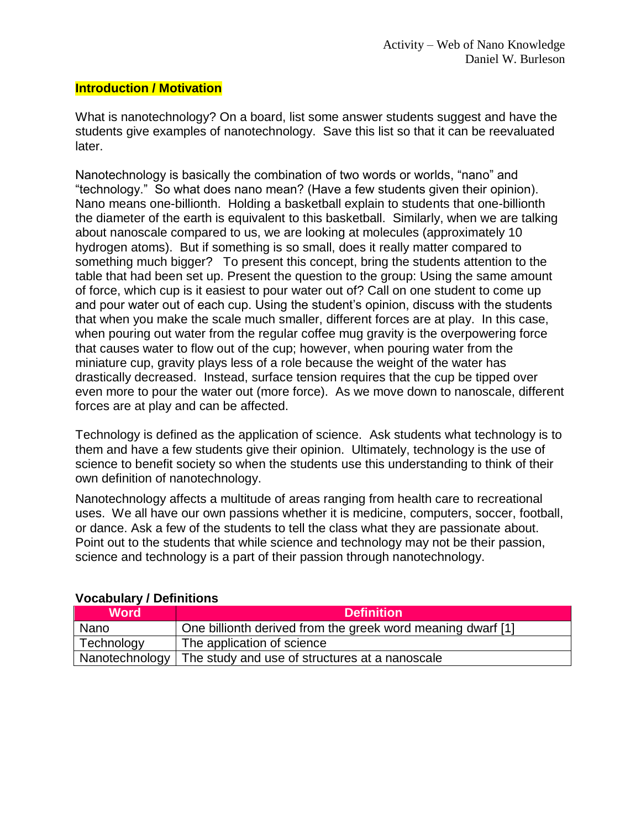### **Introduction / Motivation**

What is nanotechnology? On a board, list some answer students suggest and have the students give examples of nanotechnology. Save this list so that it can be reevaluated later.

Nanotechnology is basically the combination of two words or worlds, "nano" and "technology." So what does nano mean? (Have a few students given their opinion). Nano means one-billionth. Holding a basketball explain to students that one-billionth the diameter of the earth is equivalent to this basketball. Similarly, when we are talking about nanoscale compared to us, we are looking at molecules (approximately 10 hydrogen atoms). But if something is so small, does it really matter compared to something much bigger? To present this concept, bring the students attention to the table that had been set up. Present the question to the group: Using the same amount of force, which cup is it easiest to pour water out of? Call on one student to come up and pour water out of each cup. Using the student's opinion, discuss with the students that when you make the scale much smaller, different forces are at play. In this case, when pouring out water from the regular coffee mug gravity is the overpowering force that causes water to flow out of the cup; however, when pouring water from the miniature cup, gravity plays less of a role because the weight of the water has drastically decreased. Instead, surface tension requires that the cup be tipped over even more to pour the water out (more force). As we move down to nanoscale, different forces are at play and can be affected.

Technology is defined as the application of science. Ask students what technology is to them and have a few students give their opinion. Ultimately, technology is the use of science to benefit society so when the students use this understanding to think of their own definition of nanotechnology.

Nanotechnology affects a multitude of areas ranging from health care to recreational uses. We all have our own passions whether it is medicine, computers, soccer, football, or dance. Ask a few of the students to tell the class what they are passionate about. Point out to the students that while science and technology may not be their passion, science and technology is a part of their passion through nanotechnology.

| <b>Word</b>    | <b>Definition</b>                                           |
|----------------|-------------------------------------------------------------|
| Nano           | One billionth derived from the greek word meaning dwarf [1] |
| Technology     | The application of science                                  |
| Nanotechnology | The study and use of structures at a nanoscale              |

## **Vocabulary / Definitions**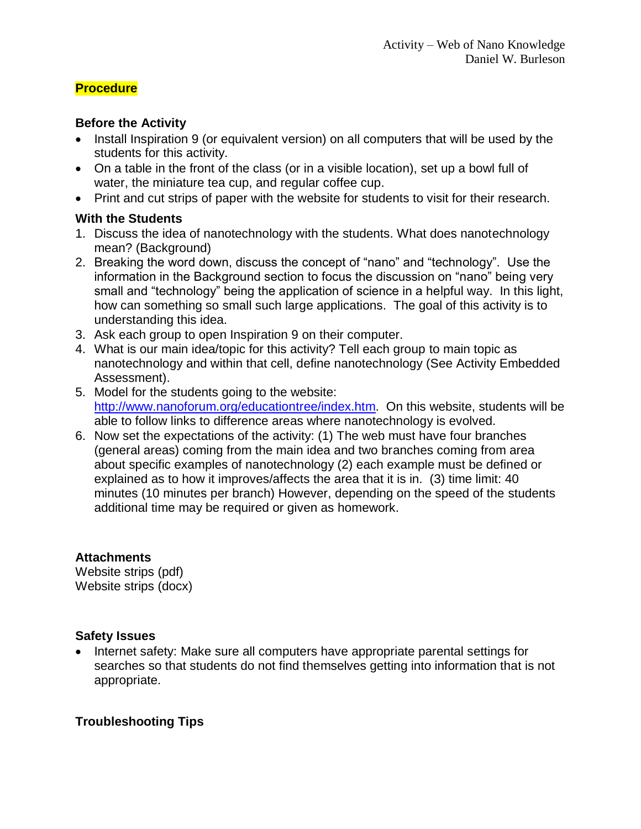# **Procedure**

## **Before the Activity**

- Install Inspiration 9 (or equivalent version) on all computers that will be used by the students for this activity.
- On a table in the front of the class (or in a visible location), set up a bowl full of water, the miniature tea cup, and regular coffee cup.
- Print and cut strips of paper with the website for students to visit for their research.

# **With the Students**

- 1. Discuss the idea of nanotechnology with the students. What does nanotechnology mean? (Background)
- 2. Breaking the word down, discuss the concept of "nano" and "technology". Use the information in the Background section to focus the discussion on "nano" being very small and "technology" being the application of science in a helpful way. In this light, how can something so small such large applications. The goal of this activity is to understanding this idea.
- 3. Ask each group to open Inspiration 9 on their computer.
- 4. What is our main idea/topic for this activity? Tell each group to main topic as nanotechnology and within that cell, define nanotechnology (See Activity Embedded Assessment).
- 5. Model for the students going to the website: [http://www.nanoforum.org/educationtree/index.htm.](http://www.nanoforum.org/educationtree/index.htm) On this website, students will be able to follow links to difference areas where nanotechnology is evolved.
- 6. Now set the expectations of the activity: (1) The web must have four branches (general areas) coming from the main idea and two branches coming from area about specific examples of nanotechnology (2) each example must be defined or explained as to how it improves/affects the area that it is in. (3) time limit: 40 minutes (10 minutes per branch) However, depending on the speed of the students additional time may be required or given as homework.

# **Attachments**

Website strips (pdf) Website strips (docx)

# **Safety Issues**

• Internet safety: Make sure all computers have appropriate parental settings for searches so that students do not find themselves getting into information that is not appropriate.

# **Troubleshooting Tips**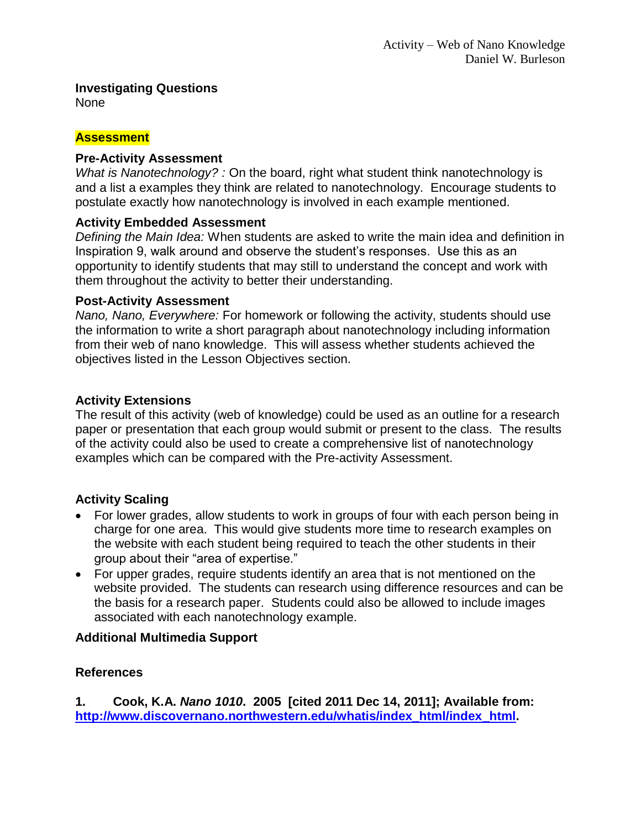## **Investigating Questions**

None

## **Assessment**

## **Pre-Activity Assessment**

*What is Nanotechnology? :* On the board, right what student think nanotechnology is and a list a examples they think are related to nanotechnology. Encourage students to postulate exactly how nanotechnology is involved in each example mentioned.

# **Activity Embedded Assessment**

*Defining the Main Idea:* When students are asked to write the main idea and definition in Inspiration 9, walk around and observe the student's responses. Use this as an opportunity to identify students that may still to understand the concept and work with them throughout the activity to better their understanding.

## **Post-Activity Assessment**

*Nano, Nano, Everywhere:* For homework or following the activity, students should use the information to write a short paragraph about nanotechnology including information from their web of nano knowledge. This will assess whether students achieved the objectives listed in the Lesson Objectives section.

# **Activity Extensions**

The result of this activity (web of knowledge) could be used as an outline for a research paper or presentation that each group would submit or present to the class. The results of the activity could also be used to create a comprehensive list of nanotechnology examples which can be compared with the Pre-activity Assessment.

# **Activity Scaling**

- For lower grades, allow students to work in groups of four with each person being in charge for one area. This would give students more time to research examples on the website with each student being required to teach the other students in their group about their "area of expertise."
- For upper grades, require students identify an area that is not mentioned on the website provided. The students can research using difference resources and can be the basis for a research paper. Students could also be allowed to include images associated with each nanotechnology example.

# **Additional Multimedia Support**

# **References**

**1. Cook, K.A.** *Nano 1010***. 2005 [cited 2011 Dec 14, 2011]; Available from: [http://www.discovernano.northwestern.edu/whatis/index\\_html/index\\_html.](http://www.discovernano.northwestern.edu/whatis/index_html/index_html)**